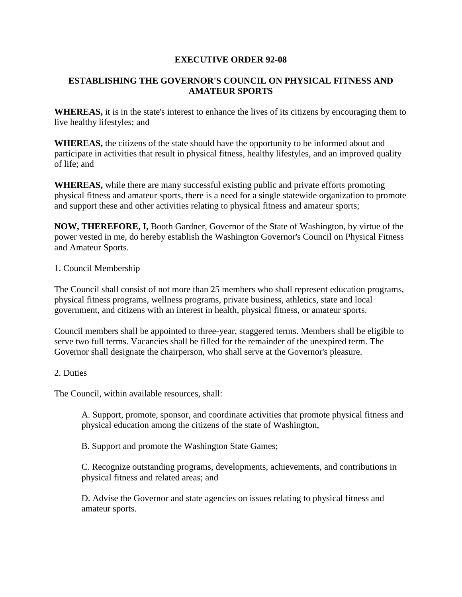## **EXECUTIVE ORDER 92-08**

## **ESTABLISHING THE GOVERNOR'S COUNCIL ON PHYSICAL FITNESS AND AMATEUR SPORTS**

**WHEREAS,** it is in the state's interest to enhance the lives of its citizens by encouraging them to live healthy lifestyles; and

**WHEREAS,** the citizens of the state should have the opportunity to be informed about and participate in activities that result in physical fitness, healthy lifestyles, and an improved quality of life; and

**WHEREAS,** while there are many successful existing public and private efforts promoting physical fitness and amateur sports, there is a need for a single statewide organization to promote and support these and other activities relating to physical fitness and amateur sports;

**NOW, THEREFORE, I,** Booth Gardner, Governor of the State of Washington, by virtue of the power vested in me, do hereby establish the Washington Governor's Council on Physical Fitness and Amateur Sports.

## 1. Council Membership

The Council shall consist of not more than 25 members who shall represent education programs, physical fitness programs, wellness programs, private business, athletics, state and local government, and citizens with an interest in health, physical fitness, or amateur sports.

Council members shall be appointed to three-year, staggered terms. Members shall be eligible to serve two full terms. Vacancies shall be filled for the remainder of the unexpired term. The Governor shall designate the chairperson, who shall serve at the Governor's pleasure.

## 2. Duties

The Council, within available resources, shall:

A. Support, promote, sponsor, and coordinate activities that promote physical fitness and physical education among the citizens of the state of Washington,

B. Support and promote the Washington State Games;

C. Recognize outstanding programs, developments, achievements, and contributions in physical fitness and related areas; and

D. Advise the Governor and state agencies on issues relating to physical fitness and amateur sports.